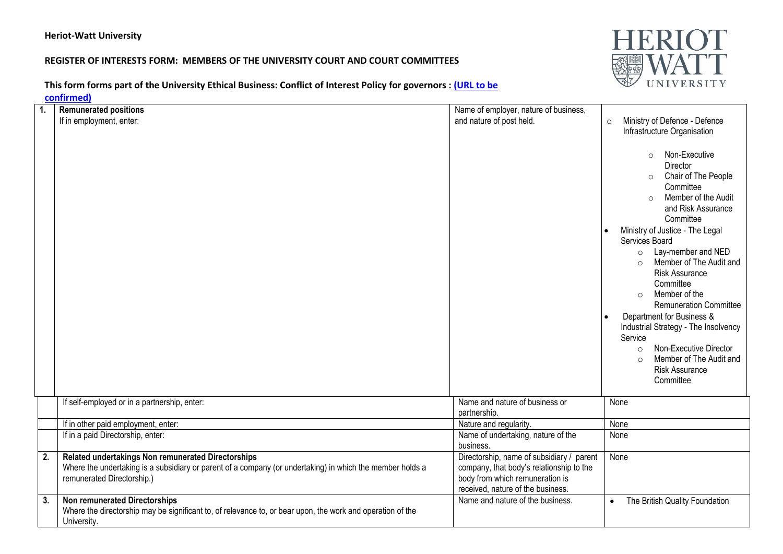## **Heriot-Watt University**

## **REGISTER OF INTERESTS FORM: MEMBERS OF THE UNIVERSITY COURT AND COURT COMMITTEES**

**HERIOT** 

**This form forms part of the University Ethical Business: Conflict of Interest Policy for governors [: \(URL](http://www.xxx/) to be** 

**confirmed)**

|                | uunningu,                                                                                                                                                                                     |                                                                                                                                                               |                                                                                                                                                                                                                                                                                                                                                                                                         |
|----------------|-----------------------------------------------------------------------------------------------------------------------------------------------------------------------------------------------|---------------------------------------------------------------------------------------------------------------------------------------------------------------|---------------------------------------------------------------------------------------------------------------------------------------------------------------------------------------------------------------------------------------------------------------------------------------------------------------------------------------------------------------------------------------------------------|
| $\mathbf{1}$ . | <b>Remunerated positions</b><br>If in employment, enter:                                                                                                                                      | Name of employer, nature of business,<br>and nature of post held.                                                                                             | Ministry of Defence - Defence<br>$\circ$<br>Infrastructure Organisation<br>Non-Executive<br>$\circ$<br>Director<br>Chair of The People<br>$\circ$<br>Committee<br>Member of the Audit<br>$\Omega$<br>and Risk Assurance<br>Committee                                                                                                                                                                    |
|                |                                                                                                                                                                                               |                                                                                                                                                               | Ministry of Justice - The Legal<br>Services Board<br>Lay-member and NED<br>$\circ$<br>Member of The Audit and<br><b>Risk Assurance</b><br>Committee<br>Member of the<br>$\Omega$<br><b>Remuneration Committee</b><br>Department for Business &<br>Industrial Strategy - The Insolvency<br>Service<br>Non-Executive Director<br>$\circ$<br>Member of The Audit and<br><b>Risk Assurance</b><br>Committee |
|                | If self-employed or in a partnership, enter:                                                                                                                                                  | Name and nature of business or<br>partnership.                                                                                                                | None                                                                                                                                                                                                                                                                                                                                                                                                    |
|                | If in other paid employment, enter:                                                                                                                                                           | Nature and regularity.                                                                                                                                        | None                                                                                                                                                                                                                                                                                                                                                                                                    |
|                | If in a paid Directorship, enter:                                                                                                                                                             | Name of undertaking, nature of the<br>business.                                                                                                               | None                                                                                                                                                                                                                                                                                                                                                                                                    |
| 2.             | Related undertakings Non remunerated Directorships<br>Where the undertaking is a subsidiary or parent of a company (or undertaking) in which the member holds a<br>remunerated Directorship.) | Directorship, name of subsidiary / parent<br>company, that body's relationship to the<br>body from which remuneration is<br>received, nature of the business. | None                                                                                                                                                                                                                                                                                                                                                                                                    |
| 3.             | <b>Non remunerated Directorships</b><br>Where the directorship may be significant to, of relevance to, or bear upon, the work and operation of the<br>University.                             | Name and nature of the business.                                                                                                                              | The British Quality Foundation<br>$\bullet$                                                                                                                                                                                                                                                                                                                                                             |